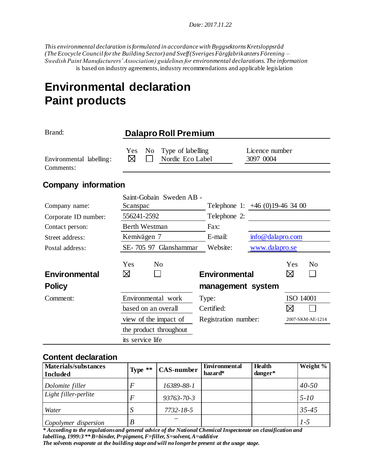*Date: 2017.11.22* 

*This environmental declaration is formulated in accordance with Byggsektorns Kretsloppsråd (The Ecocycle Council for the Building Sector) and Sveff (Sveriges Färgfabrikanters Förening – Swedish Paint Manufacturers' Association) guidelines for environmental declarations. The information* is based on industry agreements, industry recommendations and applicable legislation

# **Environmental declaration Paint products**

| Brand:                                | <b>Dalapro Roll Premium</b>                                                |                      |                                |  |
|---------------------------------------|----------------------------------------------------------------------------|----------------------|--------------------------------|--|
| Environmental labelling:<br>Comments: | Type of labelling<br>N <sub>0</sub><br><b>Yes</b><br>⊠<br>Nordic Eco Label |                      | Licence number<br>3097 0004    |  |
| <b>Company information</b>            |                                                                            |                      |                                |  |
|                                       | Saint-Gobain Sweden AB -                                                   |                      |                                |  |
| Company name:                         | Scanspac                                                                   |                      | Telephone 1: $+46(0)19-463400$ |  |
| Corporate ID number:                  | 556241-2592                                                                | Telephone 2:         |                                |  |
| Contact person:                       | <b>Berth Westman</b><br>Fax:                                               |                      |                                |  |
| Street address:                       | Kemivägen 7                                                                | E-mail:              | info@dalapro.com               |  |
| Postal address:                       | SE-705 97 Glanshammar<br>Website:                                          |                      | www.dalapro.se                 |  |
| Environmental                         | Yes<br>N <sub>0</sub><br>⊠                                                 | <b>Environmental</b> | Yes<br>N <sub>0</sub><br>⊠     |  |
|                                       |                                                                            |                      |                                |  |
| <b>Policy</b>                         |                                                                            | management system    |                                |  |
| Comment:                              | Environmental work                                                         | Type:                | ISO 14001                      |  |
|                                       | based on an overall                                                        | Certified:           | ⊠                              |  |
|                                       | view of the impact of                                                      | Registration number: | 2007-SKM-AE-1214               |  |
|                                       | the product throughout                                                     |                      |                                |  |
|                                       | its service life                                                           |                      |                                |  |

### **Content declaration**

| <b>Materials/substances</b><br><b>Included</b> | Type $**$ | <b>CAS-number</b> | <b>Environmental</b><br>hazard* | <b>Health</b><br>danger* | Weight %  |
|------------------------------------------------|-----------|-------------------|---------------------------------|--------------------------|-----------|
| Dolomite filler                                | E         | 16389-88-1        |                                 |                          | $40 - 50$ |
| Light filler-perlite                           | F         | $93763 - 70 - 3$  |                                 |                          | $5 - 10$  |
| Water                                          |           | 7732-18-5         |                                 |                          | $35 - 45$ |
| Copolymer dispersion                           | B         |                   |                                 |                          | $1-5$     |

*\* According to the regulations and general advice of the National Chemical Inspectorate on classification and labelling, 1999:3 \*\* B=binder, P=pigment, F=filler, S=solvent, A=additive The solvents evaporate at the building stage and will no longer be present at the usage stage.*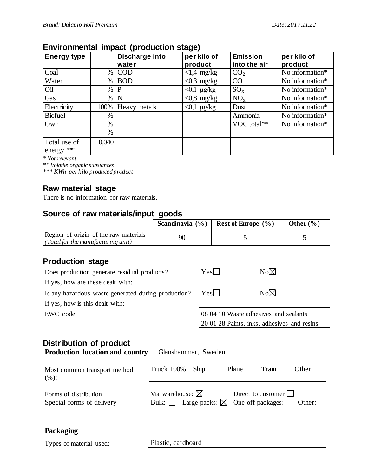## **Environmental impact (production stage)**

| <b>Energy type</b> |       | Discharge into | per kilo of      | <b>Emission</b> | per kilo of                  |
|--------------------|-------|----------------|------------------|-----------------|------------------------------|
|                    |       | water          | product          | into the air    | product                      |
| Coal               | $\%$  | <b>COD</b>     | $<1.4$ mg/kg     | CO <sub>2</sub> | No information $*$           |
| Water              | $\%$  | <b>BOD</b>     | $< 0.3$ mg/kg    | CO              | $\overline{No}$ information* |
| Oil                | $\%$  | P              | $< 0,1 \mu g/kg$ | $SO_{x}$        | No information*              |
| Gas                | $\%$  | N              | $< 0.8$ mg/kg    | $NO_{x}$        | No information*              |
| Electricity        | 100%  | Heavy metals   | $<$ 0,1 µg/kg    | Dust            | No information*              |
| <b>Biofuel</b>     | $\%$  |                |                  | Ammonia         | No information*              |
| Own                | $\%$  |                |                  | VOC total**     | No information*              |
|                    | $\%$  |                |                  |                 |                              |
| Total use of       | 0,040 |                |                  |                 |                              |
| energy $***$       |       |                |                  |                 |                              |

*\* Not relevant*

*\*\* Volatile organic substances*

*\*\*\* KWh per kilo produced product*

### **Raw material stage**

There is no information for raw materials.

## **Source of raw materials/input goods**

|                                                                                                                                                                         | Scandinavia $(\% )$                      |                                       |                                             | Rest of Europe (%) | Other $(\% )$ |
|-------------------------------------------------------------------------------------------------------------------------------------------------------------------------|------------------------------------------|---------------------------------------|---------------------------------------------|--------------------|---------------|
| Region of origin of the raw materials<br>(Total for the manufacturing unit)                                                                                             | 90                                       |                                       | 5                                           |                    | 5             |
| <b>Production stage</b>                                                                                                                                                 |                                          |                                       |                                             |                    |               |
| Does production generate residual products?                                                                                                                             |                                          | Yes                                   |                                             | $No\boxtimes$      |               |
| If yes, how are these dealt with:                                                                                                                                       |                                          |                                       |                                             |                    |               |
| Is any hazardous waste generated during production?                                                                                                                     |                                          |                                       | $No\boxtimes$<br>Yes                        |                    |               |
| If yes, how is this dealt with:                                                                                                                                         |                                          |                                       |                                             |                    |               |
| EWC code:                                                                                                                                                               |                                          | 08 04 10 Waste adhesives and sealants |                                             |                    |               |
|                                                                                                                                                                         |                                          |                                       | 20 01 28 Paints, inks, adhesives and resins |                    |               |
| Distribution of product<br><b>Production location and country</b><br>Most common transport method<br>(%):                                                               | Glanshammar, Sweden<br><b>Truck 100%</b> | Ship                                  |                                             | Plane<br>Train     | Other         |
| Via warehouse: $\boxtimes$<br>Direct to customer<br>Forms of distribution<br>Large packs: $\boxtimes$<br>Special forms of delivery<br>Bulk: $\Box$<br>One-off packages: |                                          |                                       | Other:                                      |                    |               |
| Packaging                                                                                                                                                               |                                          |                                       |                                             |                    |               |
| Types of material used:                                                                                                                                                 | Plastic, cardboard                       |                                       |                                             |                    |               |